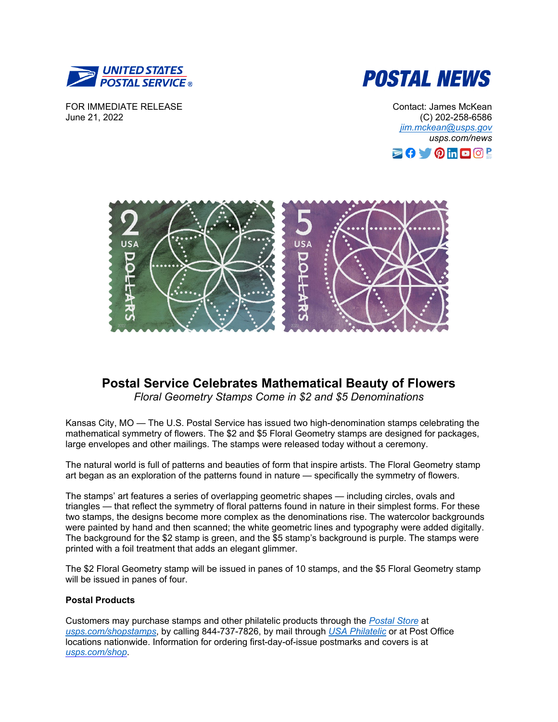



FOR IMMEDIATE RELEASE June 21, 2022

Contact: James McKean (C) 202-258-6586 *[jim.mckean@usps.gov](mailto:jim.mckean@usps.gov) usps.com/news*





## **Postal Service Celebrates Mathematical Beauty of Flowers**

*Floral Geometry Stamps Come in \$2 and \$5 Denominations*

Kansas City, MO — The U.S. Postal Service has issued two high-denomination stamps celebrating the mathematical symmetry of flowers. The \$2 and \$5 Floral Geometry stamps are designed for packages, large envelopes and other mailings. The stamps were released today without a ceremony.

The natural world is full of patterns and beauties of form that inspire artists. The Floral Geometry stamp art began as an exploration of the patterns found in nature — specifically the symmetry of flowers.

The stamps' art features a series of overlapping geometric shapes — including circles, ovals and triangles — that reflect the symmetry of floral patterns found in nature in their simplest forms. For these two stamps, the designs become more complex as the denominations rise. The watercolor backgrounds were painted by hand and then scanned; the white geometric lines and typography were added digitally. The background for the \$2 stamp is green, and the \$5 stamp's background is purple. The stamps were printed with a foil treatment that adds an elegant glimmer.

The \$2 Floral Geometry stamp will be issued in panes of 10 stamps, and the \$5 Floral Geometry stamp will be issued in panes of four.

## **Postal Products**

Customers may purchase stamps and other philatelic products through the *[Postal Store](https://store.usps.com/store/home)* at *[usps.com/shopstamps](http://www.usps.com/shopstamps)*, by calling 844-737-7826, by mail through *[USA Philatelic](https://store.usps.com/store/product/stamp-collectors/usa-philatelic-P_012007)* or at Post Office locations nationwide. Information for ordering first-day-of-issue postmarks and covers is at *[usps.com/shop](http://www.usps.com/shop)*.